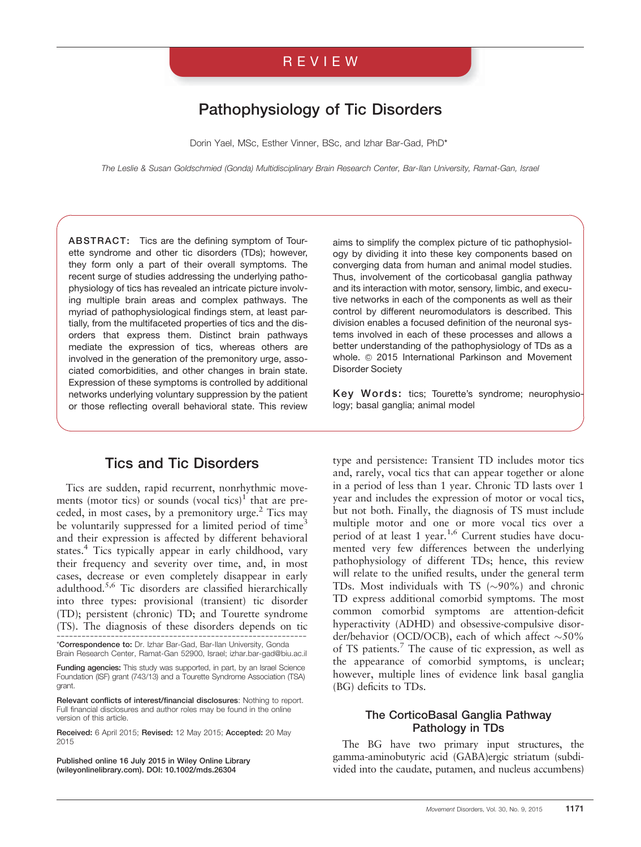## REVIEW

# Pathophysiology of Tic Disorders

Dorin Yael, MSc, Esther Vinner, BSc, and Izhar Bar-Gad, PhD\*

The Leslie & Susan Goldschmied (Gonda) Multidisciplinary Brain Research Center, Bar-Ilan University, Ramat-Gan, Israel

ABSTRACT: Tics are the defining symptom of Tourette syndrome and other tic disorders (TDs); however, they form only a part of their overall symptoms. The recent surge of studies addressing the underlying pathophysiology of tics has revealed an intricate picture involving multiple brain areas and complex pathways. The myriad of pathophysiological findings stem, at least partially, from the multifaceted properties of tics and the disorders that express them. Distinct brain pathways mediate the expression of tics, whereas others are involved in the generation of the premonitory urge, associated comorbidities, and other changes in brain state. Expression of these symptoms is controlled by additional networks underlying voluntary suppression by the patient or those reflecting overall behavioral state. This review

## Tics and Tic Disorders

Tics are sudden, rapid recurrent, nonrhythmic movements (motor tics) or sounds (vocal tics)<sup>1</sup> that are preceded, in most cases, by a premonitory urge. $2$  Tics may be voluntarily suppressed for a limited period of time<sup>3</sup> and their expression is affected by different behavioral states.<sup>4</sup> Tics typically appear in early childhood, vary their frequency and severity over time, and, in most cases, decrease or even completely disappear in early adulthood.5,6 Tic disorders are classified hierarchically into three types: provisional (transient) tic disorder (TD); persistent (chronic) TD; and Tourette syndrome (TS). The diagnosis of these disorders depends on tic ------------------------------------------------------------ \*Correspondence to: Dr. Izhar Bar-Gad, Bar-Ilan University, Gonda

Brain Research Center, Ramat-Gan 52900, Israel; izhar.bar-gad@biu.ac.il Funding agencies: This study was supported, in part, by an Israel Science

Foundation (ISF) grant (743/13) and a Tourette Syndrome Association (TSA) grant.

Relevant conflicts of interest/financial disclosures: Nothing to report. Full financial disclosures and author roles may be found in the online version of this article.

Received: 6 April 2015; Revised: 12 May 2015; Accepted: 20 May 2015

Published online 16 July 2015 in Wiley Online Library (wileyonlinelibrary.com). DOI: 10.1002/mds.26304

aims to simplify the complex picture of tic pathophysiology by dividing it into these key components based on converging data from human and animal model studies. Thus, involvement of the corticobasal ganglia pathway and its interaction with motor, sensory, limbic, and executive networks in each of the components as well as their control by different neuromodulators is described. This division enables a focused definition of the neuronal systems involved in each of these processes and allows a better understanding of the pathophysiology of TDs as a whole. © 2015 International Parkinson and Movement Disorder Society

Key Words: tics; Tourette's syndrome; neurophysiology; basal ganglia; animal model

type and persistence: Transient TD includes motor tics and, rarely, vocal tics that can appear together or alone in a period of less than 1 year. Chronic TD lasts over 1 year and includes the expression of motor or vocal tics, but not both. Finally, the diagnosis of TS must include multiple motor and one or more vocal tics over a period of at least 1 year.<sup>1,6</sup> Current studies have documented very few differences between the underlying pathophysiology of different TDs; hence, this review will relate to the unified results, under the general term TDs. Most individuals with TS  $(\sim)90\%$  and chronic TD express additional comorbid symptoms. The most common comorbid symptoms are attention-deficit hyperactivity (ADHD) and obsessive-compulsive disorder/behavior (OCD/OCB), each of which affect  $\sim 50\%$ of TS patients.7 The cause of tic expression, as well as the appearance of comorbid symptoms, is unclear; however, multiple lines of evidence link basal ganglia (BG) deficits to TDs.

#### The CorticoBasal Ganglia Pathway Pathology in TDs

The BG have two primary input structures, the gamma-aminobutyric acid (GABA)ergic striatum (subdivided into the caudate, putamen, and nucleus accumbens)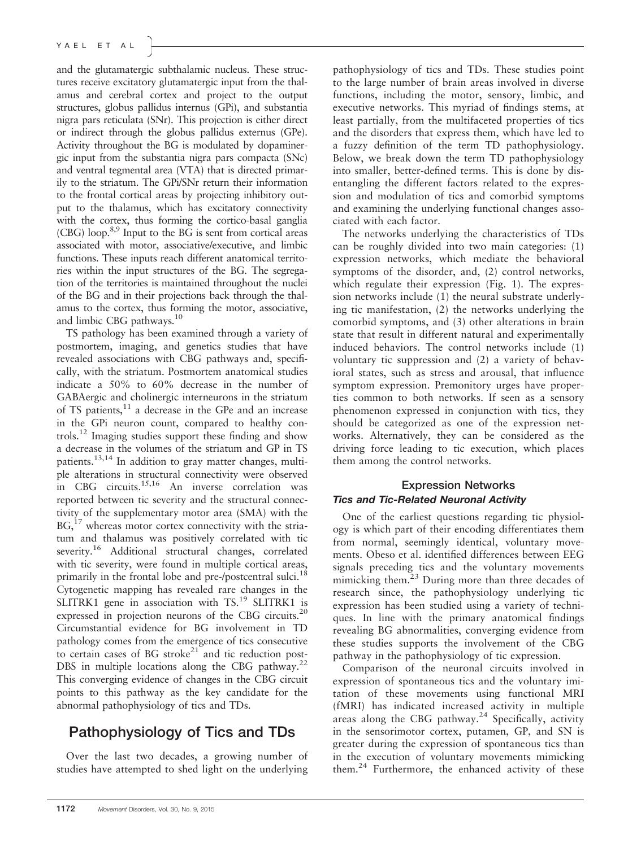and the glutamatergic subthalamic nucleus. These structures receive excitatory glutamatergic input from the thalamus and cerebral cortex and project to the output structures, globus pallidus internus (GPi), and substantia nigra pars reticulata (SNr). This projection is either direct or indirect through the globus pallidus externus (GPe). Activity throughout the BG is modulated by dopaminergic input from the substantia nigra pars compacta (SNc) and ventral tegmental area (VTA) that is directed primarily to the striatum. The GPi/SNr return their information to the frontal cortical areas by projecting inhibitory output to the thalamus, which has excitatory connectivity with the cortex, thus forming the cortico-basal ganglia (CBG) loop.8,9 Input to the BG is sent from cortical areas associated with motor, associative/executive, and limbic functions. These inputs reach different anatomical territories within the input structures of the BG. The segregation of the territories is maintained throughout the nuclei of the BG and in their projections back through the thalamus to the cortex, thus forming the motor, associative, and limbic CBG pathways.<sup>10</sup>

TS pathology has been examined through a variety of postmortem, imaging, and genetics studies that have revealed associations with CBG pathways and, specifically, with the striatum. Postmortem anatomical studies indicate a 50% to 60% decrease in the number of GABAergic and cholinergic interneurons in the striatum of TS patients, $11$  a decrease in the GPe and an increase in the GPi neuron count, compared to healthy controls.12 Imaging studies support these finding and show a decrease in the volumes of the striatum and GP in TS patients.13,14 In addition to gray matter changes, multiple alterations in structural connectivity were observed in CBG circuits.<sup>15,16</sup> An inverse correlation was reported between tic severity and the structural connectivity of the supplementary motor area (SMA) with the BG,<sup>17</sup> whereas motor cortex connectivity with the striatum and thalamus was positively correlated with tic severity.<sup>16</sup> Additional structural changes, correlated with tic severity, were found in multiple cortical areas, primarily in the frontal lobe and pre-/postcentral sulci.<sup>18</sup> Cytogenetic mapping has revealed rare changes in the SLITRK1 gene in association with  $TS<sup>19</sup>$  SLITRK1 is expressed in projection neurons of the CBG circuits.<sup>20</sup> Circumstantial evidence for BG involvement in TD pathology comes from the emergence of tics consecutive to certain cases of BG stroke $21$  and tic reduction post-DBS in multiple locations along the CBG pathway.<sup>22</sup> This converging evidence of changes in the CBG circuit points to this pathway as the key candidate for the abnormal pathophysiology of tics and TDs.

# Pathophysiology of Tics and TDs

Over the last two decades, a growing number of studies have attempted to shed light on the underlying pathophysiology of tics and TDs. These studies point to the large number of brain areas involved in diverse functions, including the motor, sensory, limbic, and executive networks. This myriad of findings stems, at least partially, from the multifaceted properties of tics and the disorders that express them, which have led to a fuzzy definition of the term TD pathophysiology. Below, we break down the term TD pathophysiology into smaller, better-defined terms. This is done by disentangling the different factors related to the expression and modulation of tics and comorbid symptoms and examining the underlying functional changes associated with each factor.

The networks underlying the characteristics of TDs can be roughly divided into two main categories: (1) expression networks, which mediate the behavioral symptoms of the disorder, and, (2) control networks, which regulate their expression (Fig. 1). The expression networks include (1) the neural substrate underlying tic manifestation, (2) the networks underlying the comorbid symptoms, and (3) other alterations in brain state that result in different natural and experimentally induced behaviors. The control networks include (1) voluntary tic suppression and (2) a variety of behavioral states, such as stress and arousal, that influence symptom expression. Premonitory urges have properties common to both networks. If seen as a sensory phenomenon expressed in conjunction with tics, they should be categorized as one of the expression networks. Alternatively, they can be considered as the driving force leading to tic execution, which places them among the control networks.

#### Expression Networks Tics and Tic-Related Neuronal Activity

One of the earliest questions regarding tic physiology is which part of their encoding differentiates them from normal, seemingly identical, voluntary movements. Obeso et al. identified differences between EEG signals preceding tics and the voluntary movements mimicking them.<sup>23</sup> During more than three decades of research since, the pathophysiology underlying tic expression has been studied using a variety of techniques. In line with the primary anatomical findings revealing BG abnormalities, converging evidence from these studies supports the involvement of the CBG pathway in the pathophysiology of tic expression.

Comparison of the neuronal circuits involved in expression of spontaneous tics and the voluntary imitation of these movements using functional MRI (fMRI) has indicated increased activity in multiple areas along the CBG pathway. $24$  Specifically, activity in the sensorimotor cortex, putamen, GP, and SN is greater during the expression of spontaneous tics than in the execution of voluntary movements mimicking them.<sup>24</sup> Furthermore, the enhanced activity of these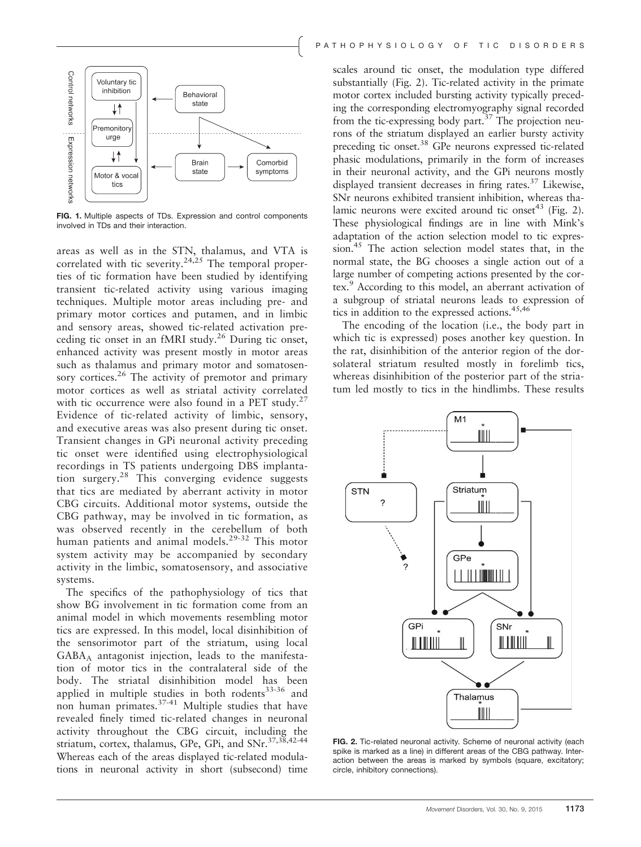

FIG. 1. Multiple aspects of TDs. Expression and control components involved in TDs and their interaction.

areas as well as in the STN, thalamus, and VTA is correlated with tic severity.<sup>24,25</sup> The temporal properties of tic formation have been studied by identifying transient tic-related activity using various imaging techniques. Multiple motor areas including pre- and primary motor cortices and putamen, and in limbic and sensory areas, showed tic-related activation preceding tic onset in an fMRI study. $^{26}$  During tic onset, enhanced activity was present mostly in motor areas such as thalamus and primary motor and somatosensory cortices.<sup>26</sup> The activity of premotor and primary motor cortices as well as striatal activity correlated with tic occurrence were also found in a PET study. $27$ Evidence of tic-related activity of limbic, sensory, and executive areas was also present during tic onset. Transient changes in GPi neuronal activity preceding tic onset were identified using electrophysiological recordings in TS patients undergoing DBS implantation surgery.<sup>28</sup> This converging evidence suggests that tics are mediated by aberrant activity in motor CBG circuits. Additional motor systems, outside the CBG pathway, may be involved in tic formation, as was observed recently in the cerebellum of both human patients and animal models.<sup>29-32</sup> This motor system activity may be accompanied by secondary activity in the limbic, somatosensory, and associative systems.

The specifics of the pathophysiology of tics that show BG involvement in tic formation come from an animal model in which movements resembling motor tics are expressed. In this model, local disinhibition of the sensorimotor part of the striatum, using local GABAA antagonist injection, leads to the manifestation of motor tics in the contralateral side of the body. The striatal disinhibition model has been applied in multiple studies in both rodents<sup>33-36</sup> and non human primates.<sup>37-41</sup> Multiple studies that have revealed finely timed tic-related changes in neuronal activity throughout the CBG circuit, including the striatum, cortex, thalamus, GPe, GPi, and SNr.<sup>37,38,42-44</sup> Whereas each of the areas displayed tic-related modulations in neuronal activity in short (subsecond) time

scales around tic onset, the modulation type differed substantially (Fig. 2). Tic-related activity in the primate motor cortex included bursting activity typically preceding the corresponding electromyography signal recorded from the tic-expressing body part.<sup>37</sup> The projection neurons of the striatum displayed an earlier bursty activity preceding tic onset.38 GPe neurons expressed tic-related phasic modulations, primarily in the form of increases in their neuronal activity, and the GPi neurons mostly displayed transient decreases in firing rates.<sup>37</sup> Likewise, SNr neurons exhibited transient inhibition, whereas thalamic neurons were excited around tic onset<sup>43</sup> (Fig. 2). These physiological findings are in line with Mink's adaptation of the action selection model to tic expression.<sup>45</sup> The action selection model states that, in the normal state, the BG chooses a single action out of a large number of competing actions presented by the cortex.<sup>9</sup> According to this model, an aberrant activation of a subgroup of striatal neurons leads to expression of tics in addition to the expressed actions.<sup>45,46</sup>

The encoding of the location (i.e., the body part in which tic is expressed) poses another key question. In the rat, disinhibition of the anterior region of the dorsolateral striatum resulted mostly in forelimb tics, whereas disinhibition of the posterior part of the striatum led mostly to tics in the hindlimbs. These results



FIG. 2. Tic-related neuronal activity. Scheme of neuronal activity (each spike is marked as a line) in different areas of the CBG pathway. Interaction between the areas is marked by symbols (square, excitatory; circle, inhibitory connections).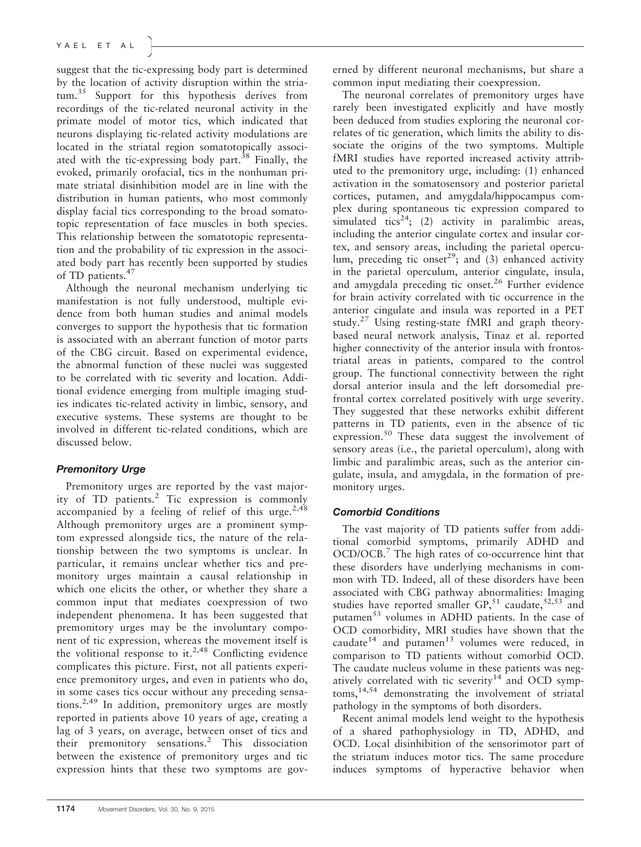suggest that the tic-expressing body part is determined by the location of activity disruption within the stria $tum.<sup>35</sup>$  Support for this hypothesis derives from recordings of the tic-related neuronal activity in the primate model of motor tics, which indicated that neurons displaying tic-related activity modulations are located in the striatal region somatotopically associated with the tic-expressing body part. $38$  Finally, the evoked, primarily orofacial, tics in the nonhuman primate striatal disinhibition model are in line with the distribution in human patients, who most commonly display facial tics corresponding to the broad somatotopic representation of face muscles in both species. This relationship between the somatotopic representation and the probability of tic expression in the associated body part has recently been supported by studies of TD patients.<sup>47</sup>

Although the neuronal mechanism underlying tic manifestation is not fully understood, multiple evidence from both human studies and animal models converges to support the hypothesis that tic formation is associated with an aberrant function of motor parts of the CBG circuit. Based on experimental evidence, the abnormal function of these nuclei was suggested to be correlated with tic severity and location. Additional evidence emerging from multiple imaging studies indicates tic-related activity in limbic, sensory, and executive systems. These systems are thought to be involved in different tic-related conditions, which are discussed below.

#### Premonitory Urge

Premonitory urges are reported by the vast majority of TD patients.<sup>2</sup> Tic expression is commonly accompanied by a feeling of relief of this urge.<sup>2,48</sup> Although premonitory urges are a prominent symptom expressed alongside tics, the nature of the relationship between the two symptoms is unclear. In particular, it remains unclear whether tics and premonitory urges maintain a causal relationship in which one elicits the other, or whether they share a common input that mediates coexpression of two independent phenomena. It has been suggested that premonitory urges may be the involuntary component of tic expression, whereas the movement itself is the volitional response to it.<sup>2,48</sup> Conflicting evidence complicates this picture. First, not all patients experience premonitory urges, and even in patients who do, in some cases tics occur without any preceding sensations.2,49 In addition, premonitory urges are mostly reported in patients above 10 years of age, creating a lag of 3 years, on average, between onset of tics and their premonitory sensations.<sup>2</sup> This dissociation between the existence of premonitory urges and tic expression hints that these two symptoms are governed by different neuronal mechanisms, but share a common input mediating their coexpression.

The neuronal correlates of premonitory urges have rarely been investigated explicitly and have mostly been deduced from studies exploring the neuronal correlates of tic generation, which limits the ability to dissociate the origins of the two symptoms. Multiple fMRI studies have reported increased activity attributed to the premonitory urge, including: (1) enhanced activation in the somatosensory and posterior parietal cortices, putamen, and amygdala/hippocampus complex during spontaneous tic expression compared to simulated tics<sup>24</sup>; (2) activity in paralimbic areas, including the anterior cingulate cortex and insular cortex, and sensory areas, including the parietal operculum, preceding tic onset<sup>29</sup>; and (3) enhanced activity in the parietal operculum, anterior cingulate, insula, and amygdala preceding tic onset.<sup>26</sup> Further evidence for brain activity correlated with tic occurrence in the anterior cingulate and insula was reported in a PET study.<sup>27</sup> Using resting-state fMRI and graph theorybased neural network analysis, Tinaz et al. reported higher connectivity of the anterior insula with frontostriatal areas in patients, compared to the control group. The functional connectivity between the right dorsal anterior insula and the left dorsomedial prefrontal cortex correlated positively with urge severity. They suggested that these networks exhibit different patterns in TD patients, even in the absence of tic expression.<sup>50</sup> These data suggest the involvement of sensory areas (i.e., the parietal operculum), along with limbic and paralimbic areas, such as the anterior cingulate, insula, and amygdala, in the formation of premonitory urges.

#### Comorbid Conditions

The vast majority of TD patients suffer from additional comorbid symptoms, primarily ADHD and OCD/OCB.<sup>7</sup> The high rates of co-occurrence hint that these disorders have underlying mechanisms in common with TD. Indeed, all of these disorders have been associated with CBG pathway abnormalities: Imaging studies have reported smaller  $GP<sub>51</sub>$  caudate,<sup>52,53</sup> and putamen<sup>53</sup> volumes in ADHD patients. In the case of OCD comorbidity, MRI studies have shown that the caudate $14$  and putamen $13$  volumes were reduced, in comparison to TD patients without comorbid OCD. The caudate nucleus volume in these patients was negatively correlated with tic severity<sup>14</sup> and OCD symp $toms$ ,  $14,54$  demonstrating the involvement of striatal pathology in the symptoms of both disorders.

Recent animal models lend weight to the hypothesis of a shared pathophysiology in TD, ADHD, and OCD. Local disinhibition of the sensorimotor part of the striatum induces motor tics. The same procedure induces symptoms of hyperactive behavior when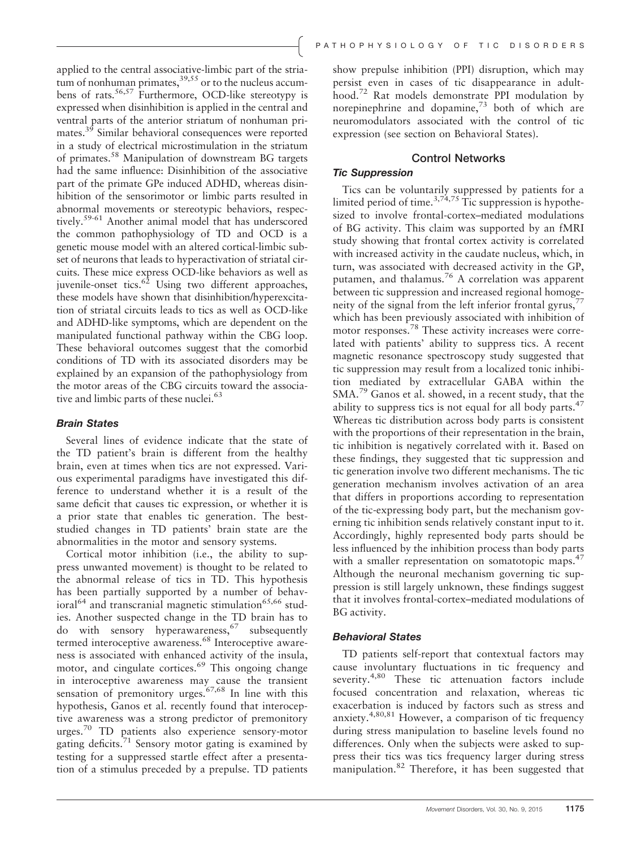applied to the central associative-limbic part of the striatum of nonhuman primates,  $39,55$  or to the nucleus accumbens of rats.56,57 Furthermore, OCD-like stereotypy is expressed when disinhibition is applied in the central and ventral parts of the anterior striatum of nonhuman primates.39 Similar behavioral consequences were reported in a study of electrical microstimulation in the striatum of primates.58 Manipulation of downstream BG targets had the same influence: Disinhibition of the associative part of the primate GPe induced ADHD, whereas disinhibition of the sensorimotor or limbic parts resulted in abnormal movements or stereotypic behaviors, respectively.<sup>59-61</sup> Another animal model that has underscored the common pathophysiology of TD and OCD is a genetic mouse model with an altered cortical-limbic subset of neurons that leads to hyperactivation of striatal circuits. These mice express OCD-like behaviors as well as juvenile-onset tics. $6^{\frac{1}{2}}$  Using two different approaches, these models have shown that disinhibition/hyperexcitation of striatal circuits leads to tics as well as OCD-like and ADHD-like symptoms, which are dependent on the manipulated functional pathway within the CBG loop. These behavioral outcomes suggest that the comorbid conditions of TD with its associated disorders may be explained by an expansion of the pathophysiology from the motor areas of the CBG circuits toward the associative and limbic parts of these nuclei.<sup>63</sup>

#### Brain States

Several lines of evidence indicate that the state of the TD patient's brain is different from the healthy brain, even at times when tics are not expressed. Various experimental paradigms have investigated this difference to understand whether it is a result of the same deficit that causes tic expression, or whether it is a prior state that enables tic generation. The beststudied changes in TD patients' brain state are the abnormalities in the motor and sensory systems.

Cortical motor inhibition (i.e., the ability to suppress unwanted movement) is thought to be related to the abnormal release of tics in TD. This hypothesis has been partially supported by a number of behavioral<sup>64</sup> and transcranial magnetic stimulation<sup>65,66</sup> studies. Another suspected change in the TD brain has to do with sensory hyperawareness,  $67$  subsequently termed interoceptive awareness.<sup>68</sup> Interoceptive awareness is associated with enhanced activity of the insula, motor, and cingulate cortices. $69$  This ongoing change in interoceptive awareness may cause the transient sensation of premonitory urges.<sup>67,68</sup> In line with this hypothesis, Ganos et al. recently found that interoceptive awareness was a strong predictor of premonitory urges.<sup>70</sup> TD patients also experience sensory-motor gating deficits.<sup>71</sup> Sensory motor gating is examined by testing for a suppressed startle effect after a presentation of a stimulus preceded by a prepulse. TD patients

show prepulse inhibition (PPI) disruption, which may persist even in cases of tic disappearance in adulthood.<sup>72</sup> Rat models demonstrate PPI modulation by norepinephrine and dopamine,<sup>73</sup> both of which are neuromodulators associated with the control of tic expression (see section on Behavioral States).

## Control Networks

### Tic Suppression

Tics can be voluntarily suppressed by patients for a limited period of time.<sup>3,74,75</sup> Tic suppression is hypothesized to involve frontal-cortex–mediated modulations of BG activity. This claim was supported by an fMRI study showing that frontal cortex activity is correlated with increased activity in the caudate nucleus, which, in turn, was associated with decreased activity in the GP, putamen, and thalamus.<sup>76</sup> A correlation was apparent between tic suppression and increased regional homogeneity of the signal from the left inferior frontal gyrus, $\frac{7}{7}$ which has been previously associated with inhibition of motor responses.<sup>78</sup> These activity increases were correlated with patients' ability to suppress tics. A recent magnetic resonance spectroscopy study suggested that tic suppression may result from a localized tonic inhibition mediated by extracellular GABA within the SMA.<sup>79</sup> Ganos et al. showed, in a recent study, that the ability to suppress tics is not equal for all body parts. $47$ Whereas tic distribution across body parts is consistent with the proportions of their representation in the brain, tic inhibition is negatively correlated with it. Based on these findings, they suggested that tic suppression and tic generation involve two different mechanisms. The tic generation mechanism involves activation of an area that differs in proportions according to representation of the tic-expressing body part, but the mechanism governing tic inhibition sends relatively constant input to it. Accordingly, highly represented body parts should be less influenced by the inhibition process than body parts with a smaller representation on somatotopic maps.<sup>47</sup> Although the neuronal mechanism governing tic suppression is still largely unknown, these findings suggest that it involves frontal-cortex–mediated modulations of BG activity.

### Behavioral States

TD patients self-report that contextual factors may cause involuntary fluctuations in tic frequency and severity.<sup>4,80</sup> These tic attenuation factors include focused concentration and relaxation, whereas tic exacerbation is induced by factors such as stress and anxiety.4,80,81 However, a comparison of tic frequency during stress manipulation to baseline levels found no differences. Only when the subjects were asked to suppress their tics was tics frequency larger during stress manipulation.<sup>82</sup> Therefore, it has been suggested that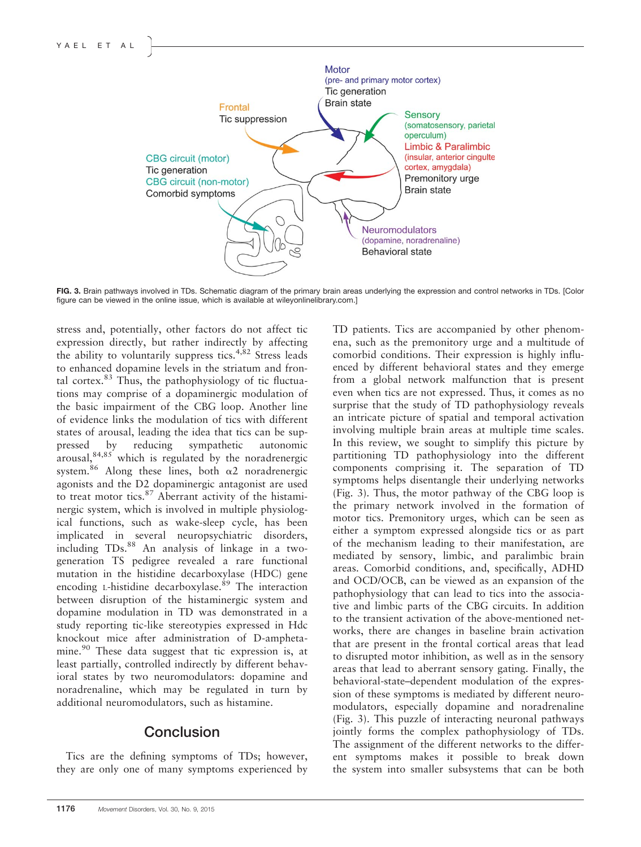

FIG. 3. Brain pathways involved in TDs. Schematic diagram of the primary brain areas underlying the expression and control networks in TDs. [Color figure can be viewed in the online issue, which is available at [wileyonlinelibrary.com.](http://wileyonlinelibrary.com)]

stress and, potentially, other factors do not affect tic expression directly, but rather indirectly by affecting the ability to voluntarily suppress tics.<sup>4,82</sup> Stress leads to enhanced dopamine levels in the striatum and frontal cortex. $83$  Thus, the pathophysiology of tic fluctuations may comprise of a dopaminergic modulation of the basic impairment of the CBG loop. Another line of evidence links the modulation of tics with different states of arousal, leading the idea that tics can be suppressed by reducing sympathetic autonomic arousal, <sup>84,85</sup> which is regulated by the noradrenergic system.<sup>86</sup> Along these lines, both  $\alpha$ 2 noradrenergic agonists and the D2 dopaminergic antagonist are used to treat motor tics. $87$  Aberrant activity of the histaminergic system, which is involved in multiple physiological functions, such as wake-sleep cycle, has been implicated in several neuropsychiatric disorders, including  $TDs<sup>88</sup>$  An analysis of linkage in a twogeneration TS pedigree revealed a rare functional mutation in the histidine decarboxylase (HDC) gene encoding *L*-histidine decarboxylase.<sup>89</sup> The interaction between disruption of the histaminergic system and dopamine modulation in TD was demonstrated in a study reporting tic-like stereotypies expressed in Hdc knockout mice after administration of D-amphetamine.<sup>90</sup> These data suggest that tic expression is, at least partially, controlled indirectly by different behavioral states by two neuromodulators: dopamine and noradrenaline, which may be regulated in turn by additional neuromodulators, such as histamine.

## **Conclusion**

Tics are the defining symptoms of TDs; however, they are only one of many symptoms experienced by

1176 Movement Disorders, Vol. 30, No. 9, 2015

TD patients. Tics are accompanied by other phenomena, such as the premonitory urge and a multitude of comorbid conditions. Their expression is highly influenced by different behavioral states and they emerge from a global network malfunction that is present even when tics are not expressed. Thus, it comes as no surprise that the study of TD pathophysiology reveals an intricate picture of spatial and temporal activation involving multiple brain areas at multiple time scales. In this review, we sought to simplify this picture by partitioning TD pathophysiology into the different components comprising it. The separation of TD symptoms helps disentangle their underlying networks (Fig. 3). Thus, the motor pathway of the CBG loop is the primary network involved in the formation of motor tics. Premonitory urges, which can be seen as either a symptom expressed alongside tics or as part of the mechanism leading to their manifestation, are mediated by sensory, limbic, and paralimbic brain areas. Comorbid conditions, and, specifically, ADHD and OCD/OCB, can be viewed as an expansion of the pathophysiology that can lead to tics into the associative and limbic parts of the CBG circuits. In addition to the transient activation of the above-mentioned networks, there are changes in baseline brain activation that are present in the frontal cortical areas that lead to disrupted motor inhibition, as well as in the sensory areas that lead to aberrant sensory gating. Finally, the behavioral-state–dependent modulation of the expression of these symptoms is mediated by different neuromodulators, especially dopamine and noradrenaline (Fig. 3). This puzzle of interacting neuronal pathways jointly forms the complex pathophysiology of TDs. The assignment of the different networks to the different symptoms makes it possible to break down the system into smaller subsystems that can be both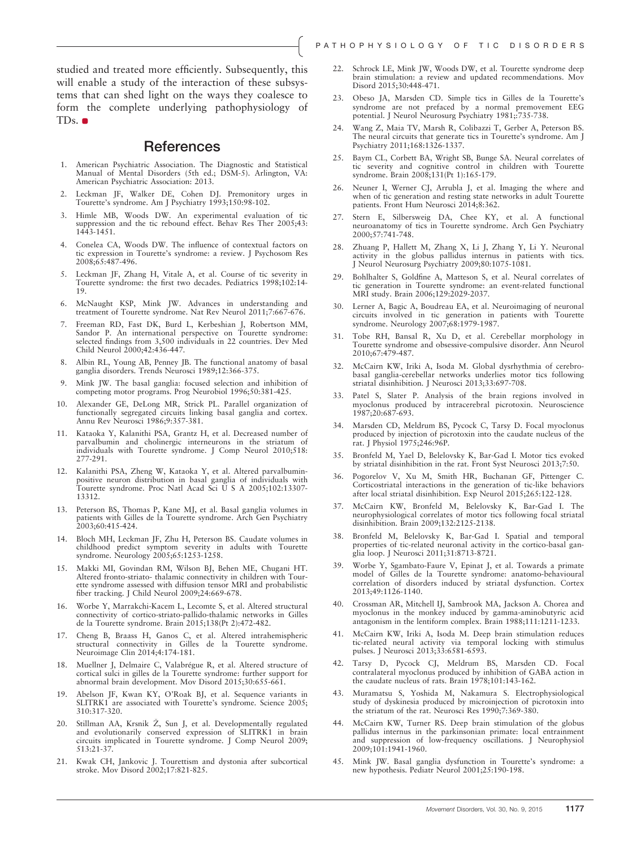studied and treated more efficiently. Subsequently, this will enable a study of the interaction of these subsystems that can shed light on the ways they coalesce to form the complete underlying pathophysiology of TDs.

#### **References**

- 1. American Psychiatric Association. The Diagnostic and Statistical Manual of Mental Disorders (5th ed.; DSM-5). Arlington, VA: American Psychiatric Association: 2013.
- 2. Leckman JF, Walker DE, Cohen DJ. Premonitory urges in Tourette's syndrome. Am J Psychiatry 1993;150:98-102.
- 3. Himle MB, Woods DW. An experimental evaluation of tic suppression and the tic rebound effect. Behav Res Ther 2005;43: 1443-1451.
- 4. Conelea CA, Woods DW. The influence of contextual factors on tic expression in Tourette's syndrome: a review. J Psychosom Res 2008;65:487-496.
- 5. Leckman JF, Zhang H, Vitale A, et al. Course of tic severity in Tourette syndrome: the first two decades. Pediatrics 1998;102:14- 19.
- 6. McNaught KSP, Mink JW. Advances in understanding and treatment of Tourette syndrome. Nat Rev Neurol 2011;7:667-676.
- 7. Freeman RD, Fast DK, Burd L, Kerbeshian J, Robertson MM, Sandor P. An international perspective on Tourette syndrome: selected findings from 3,500 individuals in 22 countries. Dev Med Child Neurol 2000;42:436-447.
- 8. Albin RL, Young AB, Penney JB. The functional anatomy of basal ganglia disorders. Trends Neurosci 1989;12:366-375.
- 9. Mink JW. The basal ganglia: focused selection and inhibition of competing motor programs. Prog Neurobiol 1996;50:381-425.
- 10. Alexander GE, DeLong MR, Strick PL. Parallel organization of functionally segregated circuits linking basal ganglia and cortex. Annu Rev Neurosci 1986;9:357-381.
- 11. Kataoka Y, Kalanithi PSA, Grantz H, et al. Decreased number of parvalbumin and cholinergic interneurons in the striatum of individuals with Tourette syndrome. J Comp Neurol 2010;518: 277-291.
- 12. Kalanithi PSA, Zheng W, Kataoka Y, et al. Altered parvalbuminpositive neuron distribution in basal ganglia of individuals with Tourette syndrome. Proc Natl Acad Sci U S A 2005;102:13307- 13312.
- 13. Peterson BS, Thomas P, Kane MJ, et al. Basal ganglia volumes in patients with Gilles de la Tourette syndrome. Arch Gen Psychiatry 2003;60:415-424.
- 14. Bloch MH, Leckman JF, Zhu H, Peterson BS. Caudate volumes in childhood predict symptom severity in adults with Tourette syndrome. Neurology 2005;65:1253-1258.
- 15. Makki MI, Govindan RM, Wilson BJ, Behen ME, Chugani HT. Altered fronto-striato- thalamic connectivity in children with Tourette syndrome assessed with diffusion tensor MRI and probabilistic fiber tracking. J Child Neurol 2009;24:669-678.
- 16. Worbe Y, Marrakchi-Kacem L, Lecomte S, et al. Altered structural connectivity of cortico-striato-pallido-thalamic networks in Gilles de la Tourette syndrome. Brain 2015;138(Pt 2):472-482.
- 17. Cheng B, Braass H, Ganos C, et al. Altered intrahemispheric structural connectivity in Gilles de la Tourette syndrome. Neuroimage Clin 2014;4:174-181.
- 18. Muellner J, Delmaire C, Valabrégue R, et al. Altered structure of cortical sulci in gilles de la Tourette syndrome: further support for abnormal brain development. Mov Disord 2015;30:655-661.
- 19. Abelson JF, Kwan KY, O'Roak BJ, et al. Sequence variants in SLITRK1 are associated with Tourette's syndrome. Science 2005; 310:317-320.
- 20. Stillman AA, Krsnik Ž, Sun J, et al. Developmentally regulated and evolutionarily conserved expression of SLITRK1 in brain circuits implicated in Tourette syndrome. J Comp Neurol 2009; 513:21-37.
- 21. Kwak CH, Jankovic J. Tourettism and dystonia after subcortical stroke. Mov Disord 2002;17:821-825.
- 22. Schrock LE, Mink JW, Woods DW, et al. Tourette syndrome deep brain stimulation: a review and updated recommendations. Mov Disord 2015;30:448-471.
- 23. Obeso JA, Marsden CD. Simple tics in Gilles de la Tourette's syndrome are not prefaced by a normal premovement EEG potential. J Neurol Neurosurg Psychiatry 1981;:735-738.
- 24. Wang Z, Maia TV, Marsh R, Colibazzi T, Gerber A, Peterson BS. The neural circuits that generate tics in Tourette's syndrome. Am J Psychiatry 2011;168:1326-1337.
- 25. Baym CL, Corbett BA, Wright SB, Bunge SA. Neural correlates of tic severity and cognitive control in children with Tourette syndrome. Brain 2008;131(Pt 1):165-179.
- 26. Neuner I, Werner CJ, Arrubla J, et al. Imaging the where and when of tic generation and resting state networks in adult Tourette patients. Front Hum Neurosci 2014;8:362.
- 27. Stern E, Silbersweig DA, Chee KY, et al. A functional neuroanatomy of tics in Tourette syndrome. Arch Gen Psychiatry 2000;57:741-748.
- 28. Zhuang P, Hallett M, Zhang X, Li J, Zhang Y, Li Y. Neuronal activity in the globus pallidus internus in patients with tics. J Neurol Neurosurg Psychiatry 2009;80:1075-1081.
- Bohlhalter S, Goldfine A, Matteson S, et al. Neural correlates of tic generation in Tourette syndrome: an event-related functional MRI study. Brain 2006;129:2029-2037.
- 30. Lerner A, Bagic A, Boudreau EA, et al. Neuroimaging of neuronal circuits involved in tic generation in patients with Tourette syndrome. Neurology 2007;68:1979-1987.
- 31. Tobe RH, Bansal R, Xu D, et al. Cerebellar morphology in Tourette syndrome and obsessive-compulsive disorder. Ann Neurol 2010;67:479-487.
- 32. McCairn KW, Iriki A, Isoda M. Global dysrhythmia of cerebrobasal ganglia-cerebellar networks underlies motor tics following striatal disinhibition. J Neurosci 2013;33:697-708.
- 33. Patel S, Slater P. Analysis of the brain regions involved in myoclonus produced by intracerebral picrotoxin. Neuroscience 1987;20:687-693.
- 34. Marsden CD, Meldrum BS, Pycock C, Tarsy D. Focal myoclonus produced by injection of picrotoxin into the caudate nucleus of the rat. J Physiol 1975;246:96P.
- 35. Bronfeld M, Yael D, Belelovsky K, Bar-Gad I. Motor tics evoked by striatal disinhibition in the rat. Front Syst Neurosci 2013;7:50.
- 36. Pogorelov V, Xu M, Smith HR, Buchanan GF, Pittenger C. Corticostriatal interactions in the generation of tic-like behaviors after local striatal disinhibition. Exp Neurol 2015;265:122-128.
- 37. McCairn KW, Bronfeld M, Belelovsky K, Bar-Gad I. The neurophysiological correlates of motor tics following focal striatal disinhibition. Brain 2009;132:2125-2138.
- 38. Bronfeld M, Belelovsky K, Bar-Gad I. Spatial and temporal properties of tic-related neuronal activity in the cortico-basal ganglia loop. J Neurosci 2011;31:8713-8721.
- 39. Worbe Y, Sgambato-Faure V, Epinat J, et al. Towards a primate model of Gilles de la Tourette syndrome: anatomo-behavioural correlation of disorders induced by striatal dysfunction. Cortex 2013;49:1126-1140.
- 40. Crossman AR, Mitchell IJ, Sambrook MA, Jackson A. Chorea and myoclonus in the monkey induced by gamma-aminobutyric acid antagonism in the lentiform complex. Brain 1988;111:1211-1233.
- 41. McCairn KW, Iriki A, Isoda M. Deep brain stimulation reduces tic-related neural activity via temporal locking with stimulus pulses. J Neurosci 2013;33:6581-6593.
- Tarsy D, Pycock CJ, Meldrum BS, Marsden CD. Focal contralateral myoclonus produced by inhibition of GABA action in the caudate nucleus of rats. Brain 1978;101:143-162.
- 43. Muramatsu S, Yoshida M, Nakamura S. Electrophysiological study of dyskinesia produced by microinjection of picrotoxin into the striatum of the rat. Neurosci Res 1990;7:369-380.
- 44. McCairn KW, Turner RS. Deep brain stimulation of the globus pallidus internus in the parkinsonian primate: local entrainment and suppression of low-frequency oscillations. J Neurophysiol 2009;101:1941-1960.
- 45. Mink JW. Basal ganglia dysfunction in Tourette's syndrome: a new hypothesis. Pediatr Neurol 2001;25:190-198.